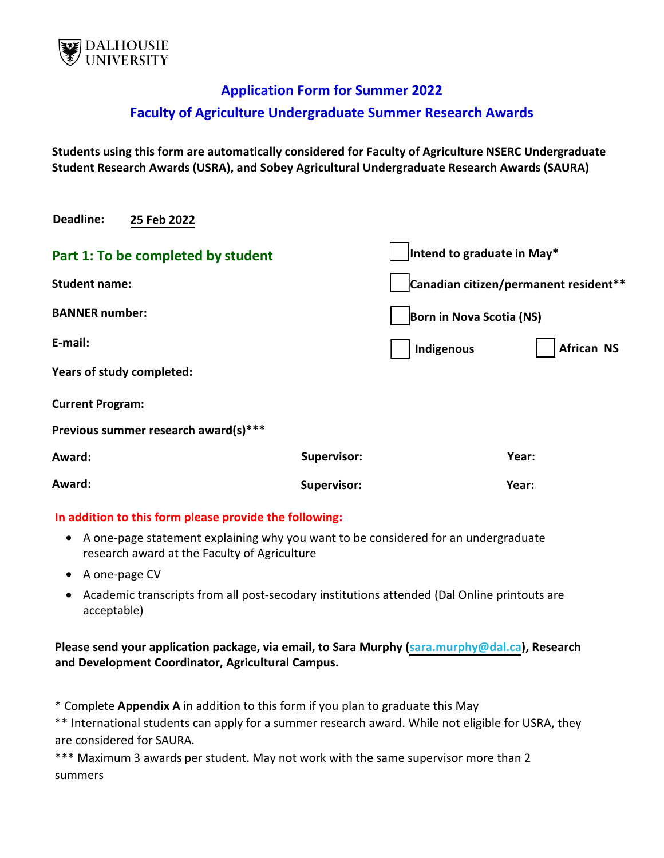

# **Application Form for Summer 2022**

# **Faculty of Agriculture Undergraduate Summer Research Awards**

**Students using this form are automatically considered for Faculty of Agriculture NSERC Undergraduate Student Research Awards (USRA), and Sobey Agricultural Undergraduate Research Awards (SAURA)** 

|                       | Intend to graduate in May*      |
|-----------------------|---------------------------------|
| <b>Student name:</b>  |                                 |
| <b>BANNER number:</b> |                                 |
|                       | <b>African NS</b><br>Indigenous |
|                       |                                 |
|                       |                                 |
|                       |                                 |
| <b>Supervisor:</b>    | Year:                           |
| <b>Supervisor:</b>    | Year:                           |
|                       |                                 |

#### **In addition to this form please provide the following:**

- A one-page statement explaining why you want to be considered for an undergraduate research award at the Faculty of Agriculture
- A one-page CV
- Academic transcripts from all post-secodary institutions attended (Dal Online printouts are acceptable)

#### **Please send your application package, via email, to Sara Murphy ([sara.murphy@dal.ca](mailto:sara.murphy@dal.ca)), Research and Development Coordinator, Agricultural Campus.**

\* Complete **Appendix A** in addition to this form if you plan to graduate this May

\*\* International students can apply for a summer research award. While not eligible for USRA, they are considered for SAURA.

\*\*\* Maximum 3 awards per student. May not work with the same supervisor more than 2 summers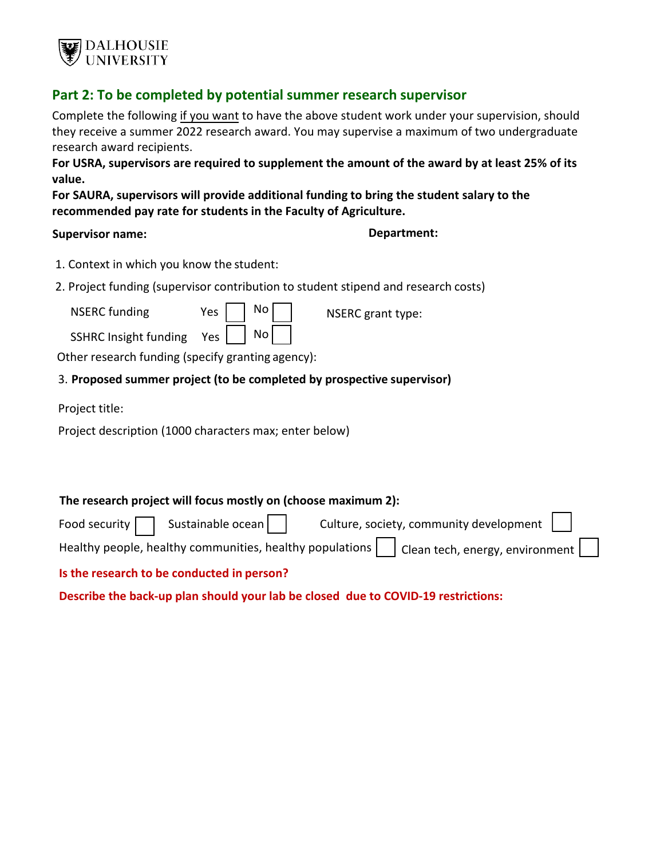

## **Part 2: To be completed by potential summer research supervisor**

Complete the following if you want to have the above student work under your supervision, should they receive a summer 2022 research award. You may supervise a maximum of two undergraduate research award recipients.

**For USRA, supervisors are required to supplement the amount of the award by at least 25% of its value.** 

**For SAURA, supervisors will provide additional funding to bring the student salary to the recommended pay rate for students in the Faculty of Agriculture.** 

#### **Supervisor name: Department:**

- 1. Context in which you know the student:
- 2. Project funding (supervisor contribution to student stipend and research costs)

| <b>NSERC</b> funding | Yes | $\overline{\phantom{a}}$ No | NSERC grant type: |
|----------------------|-----|-----------------------------|-------------------|
|                      |     | المتما ا                    |                   |

SSHRC Insight funding  $Yes | No |$ 

Other research funding (specify granting agency):

#### 3. **Proposed summer project (to be completed by prospective supervisor)**

Project title:

Project description (1000 characters max; enter below)

| The research project will focus mostly on (choose maximum 2): |                                                                                              |  |  |  |  |
|---------------------------------------------------------------|----------------------------------------------------------------------------------------------|--|--|--|--|
| Food security $\Box$ Sustainable ocean $\Box$                 | Culture, society, community development $\ \  $                                              |  |  |  |  |
|                                                               | Healthy people, healthy communities, healthy populations     Clean tech, energy, environment |  |  |  |  |
| Is the research to be conducted in nerson?                    |                                                                                              |  |  |  |  |

**Is the research to be conducted in person?** 

**Describe the back-up plan should your lab be closed due to COVID-19 restrictions:**